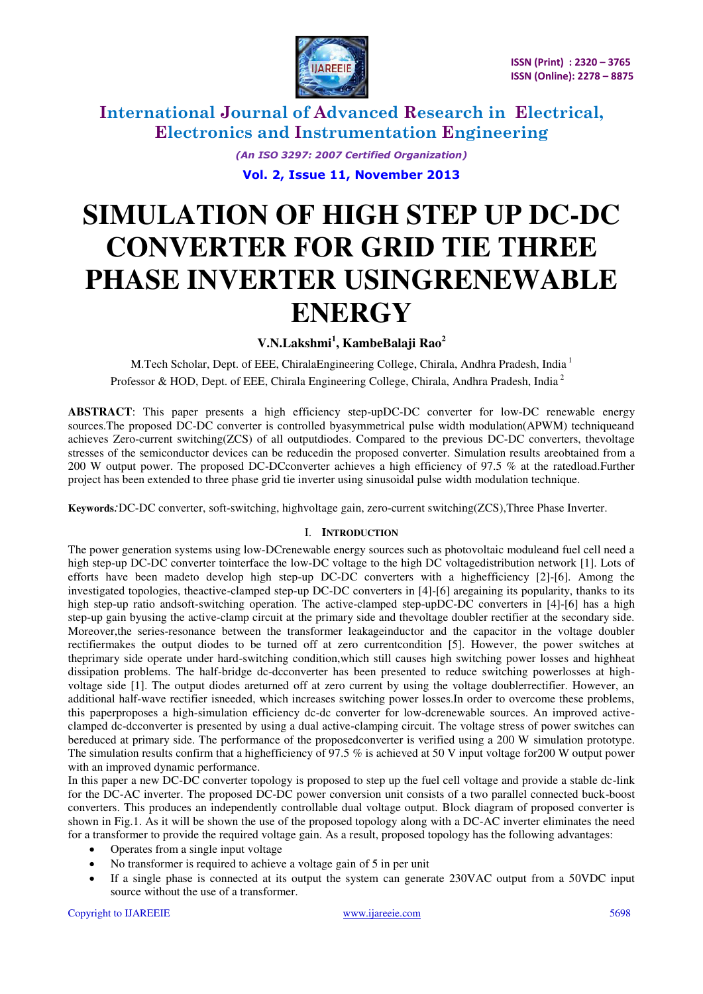

> *(An ISO 3297: 2007 Certified Organization)*  **Vol. 2, Issue 11, November 2013**

# **SIMULATION OF HIGH STEP UP DC-DC CONVERTER FOR GRID TIE THREE PHASE INVERTER USINGRENEWABLE ENERGY**

### **V.N.Lakshmi<sup>1</sup> , KambeBalaji Rao<sup>2</sup>**

M.Tech Scholar, Dept. of EEE, ChiralaEngineering College, Chirala, Andhra Pradesh, India<sup>1</sup> Professor & HOD, Dept. of EEE, Chirala Engineering College, Chirala, Andhra Pradesh, India<sup>2</sup>

**ABSTRACT**: This paper presents a high efficiency step-upDC-DC converter for low-DC renewable energy sources.The proposed DC-DC converter is controlled byasymmetrical pulse width modulation(APWM) techniqueand achieves Zero-current switching(ZCS) of all outputdiodes. Compared to the previous DC-DC converters, thevoltage stresses of the semiconductor devices can be reducedin the proposed converter. Simulation results areobtained from a 200 W output power. The proposed DC-DCconverter achieves a high efficiency of 97.5 % at the ratedload.Further project has been extended to three phase grid tie inverter using sinusoidal pulse width modulation technique.

**Keywords***:*DC-DC converter, soft-switching, highvoltage gain, zero-current switching(ZCS),Three Phase Inverter.

#### I. **INTRODUCTION**

The power generation systems using low-DCrenewable energy sources such as photovoltaic moduleand fuel cell need a high step-up DC-DC converter tointerface the low-DC voltage to the high DC voltagedistribution network [1]. Lots of efforts have been madeto develop high step-up DC-DC converters with a highefficiency [2]-[6]. Among the investigated topologies, theactive-clamped step-up DC-DC converters in [4]-[6] aregaining its popularity, thanks to its high step-up ratio andsoft-switching operation. The active-clamped step-upDC-DC converters in [4]-[6] has a high step-up gain byusing the active-clamp circuit at the primary side and thevoltage doubler rectifier at the secondary side. Moreover, the series-resonance between the transformer leakageinductor and the capacitor in the voltage doubler rectifiermakes the output diodes to be turned off at zero currentcondition [5]. However, the power switches at theprimary side operate under hard-switching condition,which still causes high switching power losses and highheat dissipation problems. The half-bridge dc-dcconverter has been presented to reduce switching powerlosses at highvoltage side [1]. The output diodes areturned off at zero current by using the voltage doublerrectifier. However, an additional half-wave rectifier isneeded, which increases switching power losses.In order to overcome these problems, this paperproposes a high-simulation efficiency dc-dc converter for low-dcrenewable sources. An improved activeclamped dc-dcconverter is presented by using a dual active-clamping circuit. The voltage stress of power switches can bereduced at primary side. The performance of the proposedconverter is verified using a 200 W simulation prototype. The simulation results confirm that a highefficiency of 97.5 % is achieved at 50 V input voltage for200 W output power with an improved dynamic performance.

In this paper a new DC-DC converter topology is proposed to step up the fuel cell voltage and provide a stable dc-link for the DC-AC inverter. The proposed DC-DC power conversion unit consists of a two parallel connected buck-boost converters. This produces an independently controllable dual voltage output. Block diagram of proposed converter is shown in Fig.1. As it will be shown the use of the proposed topology along with a DC-AC inverter eliminates the need for a transformer to provide the required voltage gain. As a result, proposed topology has the following advantages:

- Operates from a single input voltage
- No transformer is required to achieve a voltage gain of 5 in per unit
- If a single phase is connected at its output the system can generate 230VAC output from a 50VDC input source without the use of a transformer.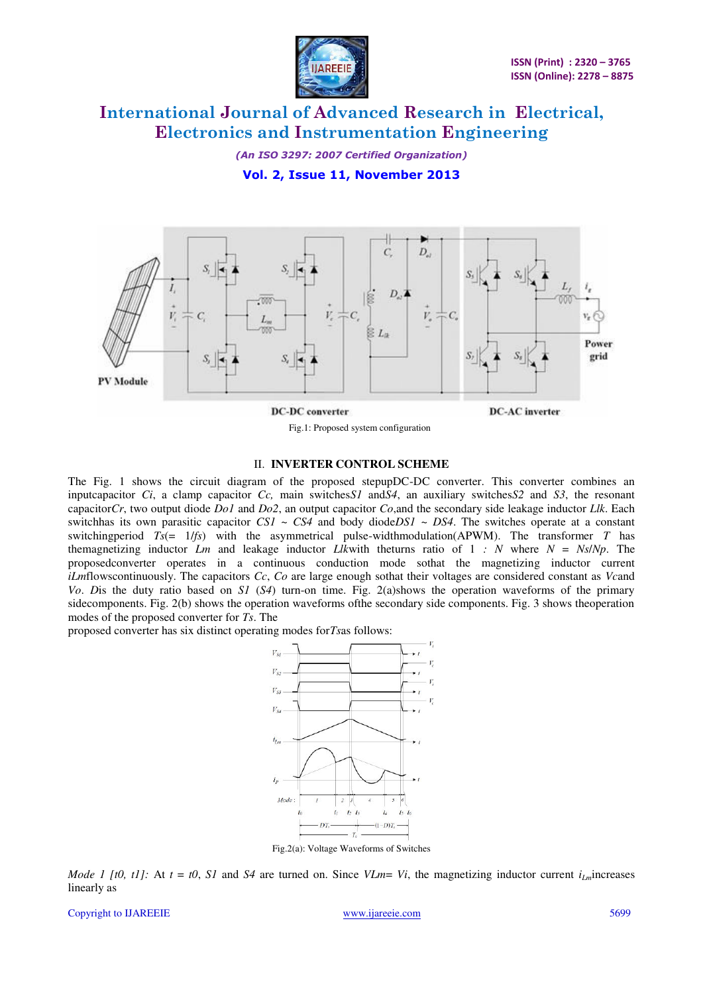

*(An ISO 3297: 2007 Certified Organization)* 

**Vol. 2, Issue 11, November 2013** 



**DC-DC** converter

**DC-AC** inverter

#### II. **INVERTER CONTROL SCHEME**

Fig.1: Proposed system configuration

The Fig. 1 shows the circuit diagram of the proposed stepupDC-DC converter. This converter combines an inputcapacitor *Ci*, a clamp capacitor *Cc,* main switches*S1* and*S4*, an auxiliary switches*S2* and *S3*, the resonant capacitor*Cr*, two output diode *Do1* and *Do2*, an output capacitor *Co*,and the secondary side leakage inductor *Llk*. Each switchhas its own parasitic capacitor *CS1* ~ *CS4* and body diode*DS1* ~ *DS4*. The switches operate at a constant switchingperiod *Ts*(= 1/*fs*) with the asymmetrical pulse-widthmodulation(APWM). The transformer *T* has themagnetizing inductor *Lm* and leakage inductor *Likwith* theturns ratio of 1 *: N* where  $N = Ns/Np$ . The proposedconverter operates in a continuous conduction mode sothat the magnetizing inductor current *iLm*flowscontinuously. The capacitors *Cc*, *Co* are large enough sothat their voltages are considered constant as *Vc*and *Vo*. *D*is the duty ratio based on *S1* (*S4*) turn-on time. Fig. 2(a)shows the operation waveforms of the primary sidecomponents. Fig. 2(b) shows the operation waveforms ofthe secondary side components. Fig. 3 shows theoperation modes of the proposed converter for *Ts*. The

proposed converter has six distinct operating modes for*Ts*as follows:



Fig.2(a): Voltage Waveforms of Switches

*Mode 1 [t0, t1]:* At  $t = t0$ , *S1* and *S4* are turned on. Since *VLm*= *Vi*, the magnetizing inductor current  $i_{Im}$  increases linearly as

Copyright to IJAREEIE [www.ijareeie.com](http://www.ijareeie.com/) 5699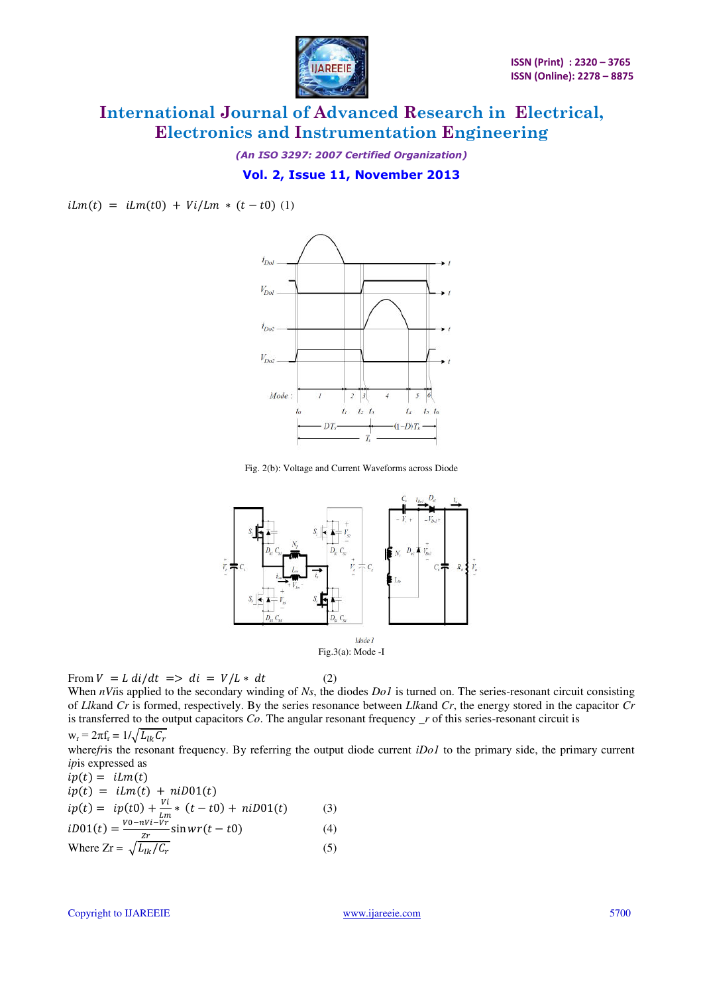

*(An ISO 3297: 2007 Certified Organization)* 

#### **Vol. 2, Issue 11, November 2013**

 $iLm(t) = iLm(t0) + Vi/Lm * (t - t0)$  (1)



Fig. 2(b): Voltage and Current Waveforms across Diode



From  $V = L \frac{di}{dt} \implies di = V/L * dt$  (2)

When *nVi*is applied to the secondary winding of *Ns*, the diodes *Do1* is turned on. The series-resonant circuit consisting of *Llk*and *Cr* is formed, respectively. By the series resonance between *Llk*and *Cr*, the energy stored in the capacitor *Cr*  is transferred to the output capacitors *Co*. The angular resonant frequency *\_r* of this series-resonant circuit is

 $w_r = 2\pi f_r = 1/\sqrt{L}$ 

where*fr*is the resonant frequency. By referring the output diode current *iDo1* to the primary side, the primary current *ip*is expressed as

$$
ip(t) = lLm(t) \nip(t) = ilm(t) + niD01(t) \nip(t) = ip(t0) + \frac{Vi}{lm} * (t - t0) + niD01(t) \tag{3} \nib01(t) = \frac{v_0 - nVi - Vr}{zr} \sin wr(t - t0) \tag{4} \nWhere Zr = \sqrt{L_{lk}/C_r} \tag{5}
$$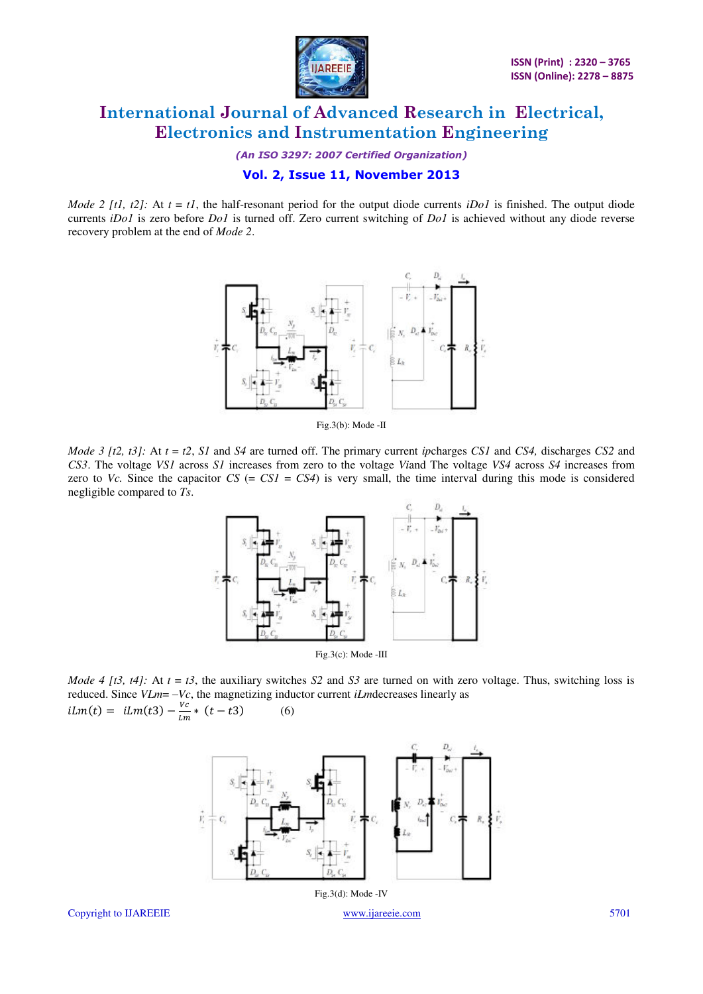

*(An ISO 3297: 2007 Certified Organization)* 

#### **Vol. 2, Issue 11, November 2013**

*Mode 2 [t1, t2]:* At  $t = t1$ , the half-resonant period for the output diode currents *iDo1* is finished. The output diode currents *iDo1* is zero before *Do1* is turned off. Zero current switching of *Do1* is achieved without any diode reverse recovery problem at the end of *Mode 2*.



Fig.3(b): Mode -II

*Mode 3 [t2, t3]:* At *t* = *t2*, *S1* and *S4* are turned off. The primary current *ip*charges *CS1* and *CS4,* discharges *CS2* and *CS3*. The voltage *VS1* across *S1* increases from zero to the voltage *Vi*and The voltage *VS4* across *S4* increases from zero to *Vc.* Since the capacitor  $CS$  (=  $CS1 = CS4$ ) is very small, the time interval during this mode is considered negligible compared to *Ts*.



Fig.3(c): Mode -III

*Mode 4 [t3, t4]:* At  $t = t3$ , the auxiliary switches *S2* and *S3* are turned on with zero voltage. Thus, switching loss is reduced. Since *VLm*= –*Vc*, the magnetizing inductor current *iLm*decreases linearly as  $ilm(t) = ilm(t3) - \frac{V}{lA}$  $\frac{v}{Lm} * (t - t3)$  (6)



Copyright to IJAREEIE [www.ijareeie.com](http://www.ijareeie.com/) 5701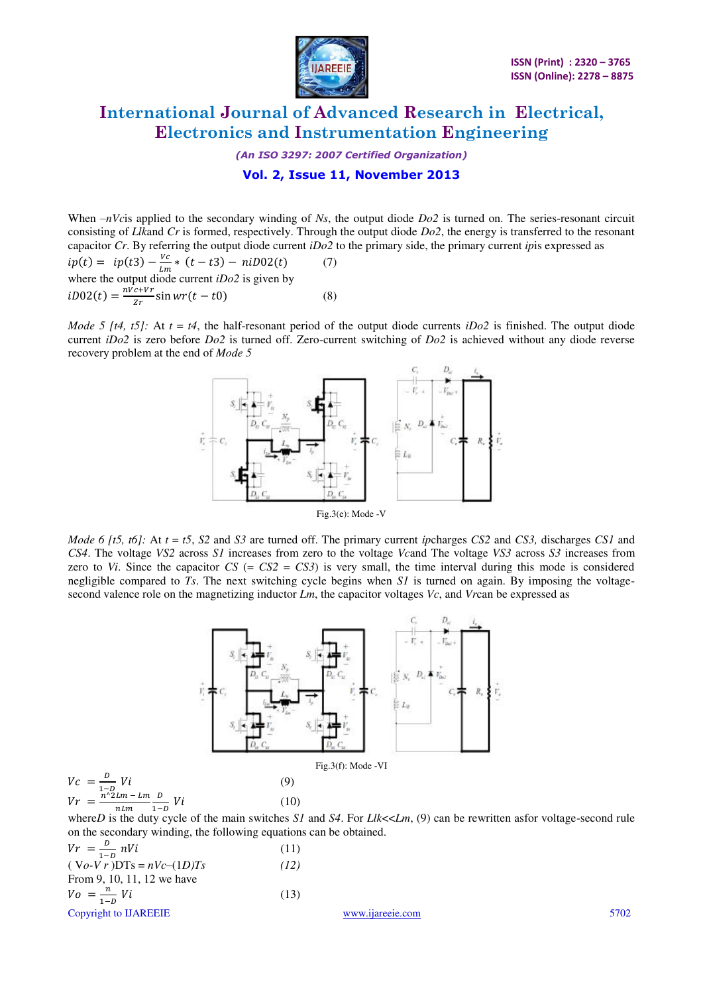

*(An ISO 3297: 2007 Certified Organization)* 

#### **Vol. 2, Issue 11, November 2013**

When –*nVc*is applied to the secondary winding of *Ns*, the output diode *Do2* is turned on. The series-resonant circuit consisting of *Llk*and *Cr* is formed, respectively. Through the output diode *Do2*, the energy is transferred to the resonant capacitor *Cr*. By referring the output diode current *iDo2* to the primary side, the primary current *ip*is expressed as  $ip(t) = ip(t3) - \frac{v}{l_1}$  $\frac{V_{\text{c}}}{Lm}$  (*t* - *t*3) - *niD*02(*t*) (7) where the output diode current *iDo2* is given by  $iD02(t) = \frac{n}{t}$  $\frac{c+v}{2r}$  sin  $wr(t-t0)$  (8)

*Mode 5 [t4, t5]:* At  $t = t4$ , the half-resonant period of the output diode currents *iDo2* is finished. The output diode current *iDo2* is zero before *Do2* is turned off. Zero-current switching of *Do2* is achieved without any diode reverse recovery problem at the end of *Mode 5* 



*Mode 6 [t5, t6]:* At *t* = *t5*, *S2* and *S3* are turned off. The primary current *ip*charges *CS2* and *CS3,* discharges *CS1* and *CS4*. The voltage *VS2* across *S1* increases from zero to the voltage *Vc*and The voltage *VS3* across *S3* increases from zero to *Vi*. Since the capacitor  $CS$  (=  $CS2 = CS3$ ) is very small, the time interval during this mode is considered negligible compared to *Ts*. The next switching cycle begins when *S1* is turned on again. By imposing the voltagesecond valence role on the magnetizing inductor *Lm*, the capacitor voltages *Vc*, and *Vr*can be expressed as



where*D* is the duty cycle of the main switches *S1* and *S4*. For *Llk*<<*Lm*, (9) can be rewritten asfor voltage-second rule on the secondary winding, the following equations can be obtained.

| $Vr = \frac{D}{1-D} nVi$     | (11) |
|------------------------------|------|
| $(Vo-Vr)DTs = nVc-(1D)Ts$    | (12) |
| From 9, 10, 11, 12 we have   |      |
| $V_o = \frac{n}{1 - p} V_i$  | (13) |
| Copyright to <b>IJAREEIE</b> |      |

 $Vc = \frac{D}{1-z}$ 

 $Vr =$ 

[www.ijareeie.com](http://www.ijareeie.com/) 5702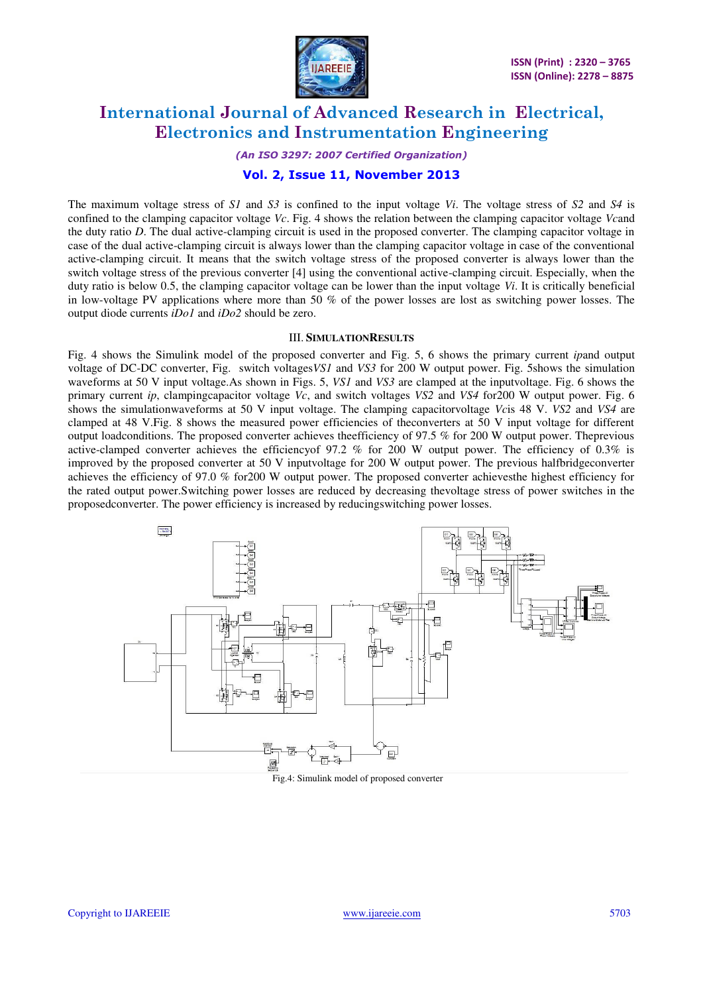

#### *(An ISO 3297: 2007 Certified Organization)*

#### **Vol. 2, Issue 11, November 2013**

The maximum voltage stress of *S1* and *S3* is confined to the input voltage *Vi*. The voltage stress of *S2* and *S4* is confined to the clamping capacitor voltage *Vc*. Fig. 4 shows the relation between the clamping capacitor voltage *Vc*and the duty ratio *D*. The dual active-clamping circuit is used in the proposed converter. The clamping capacitor voltage in case of the dual active-clamping circuit is always lower than the clamping capacitor voltage in case of the conventional active-clamping circuit. It means that the switch voltage stress of the proposed converter is always lower than the switch voltage stress of the previous converter [4] using the conventional active-clamping circuit. Especially, when the duty ratio is below 0.5, the clamping capacitor voltage can be lower than the input voltage *Vi*. It is critically beneficial in low-voltage PV applications where more than 50 % of the power losses are lost as switching power losses. The output diode currents *iDo1* and *iDo2* should be zero.

#### III. **SIMULATIONRESULTS**

Fig. 4 shows the Simulink model of the proposed converter and Fig. 5, 6 shows the primary current *ip*and output voltage of DC-DC converter, Fig. switch voltages*VS1* and *VS3* for 200 W output power. Fig. 5shows the simulation waveforms at 50 V input voltage.As shown in Figs. 5, *VS1* and *VS3* are clamped at the inputvoltage. Fig. 6 shows the primary current *ip*, clampingcapacitor voltage *Vc*, and switch voltages *VS2* and *VS4* for200 W output power. Fig. 6 shows the simulationwaveforms at 50 V input voltage. The clamping capacitorvoltage *Vc*is 48 V. *VS2* and *VS4* are clamped at 48 V.Fig. 8 shows the measured power efficiencies of theconverters at 50 V input voltage for different output loadconditions. The proposed converter achieves theefficiency of 97.5 % for 200 W output power. Theprevious active-clamped converter achieves the efficiencyof 97.2 % for 200 W output power. The efficiency of 0.3% is improved by the proposed converter at 50 V inputvoltage for 200 W output power. The previous halfbridgeconverter achieves the efficiency of 97.0 % for200 W output power. The proposed converter achievesthe highest efficiency for the rated output power.Switching power losses are reduced by decreasing thevoltage stress of power switches in the proposedconverter. The power efficiency is increased by reducingswitching power losses.



Fig.4: Simulink model of proposed converter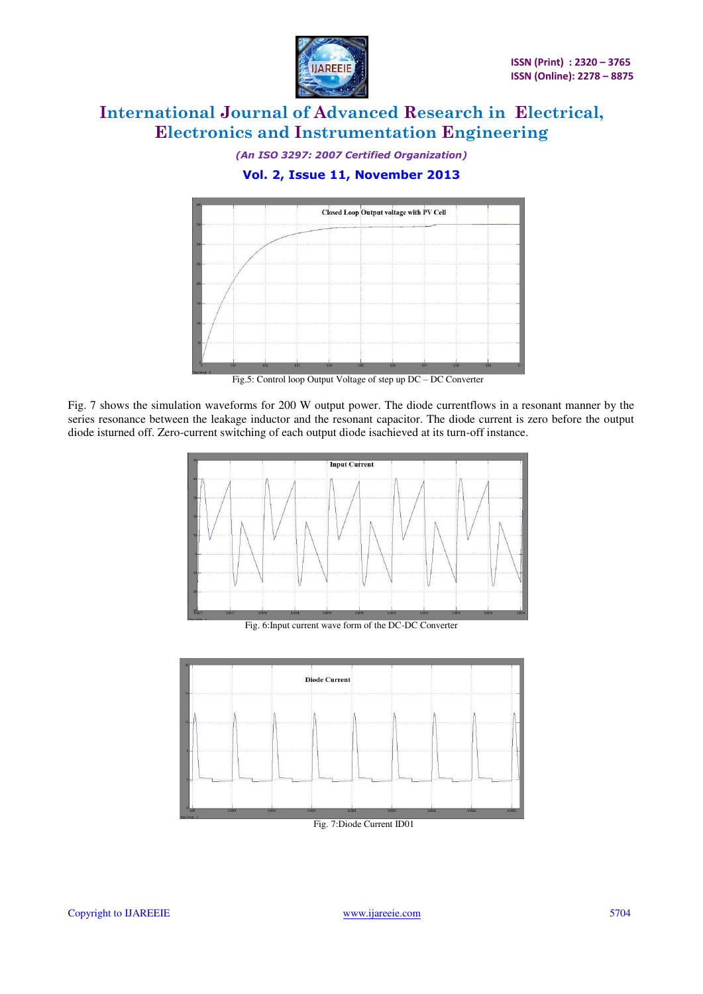

*(An ISO 3297: 2007 Certified Organization)* 

### **Vol. 2, Issue 11, November 2013**



Fig.5: Control loop Output Voltage of step up DC – DC Converter

Fig. 7 shows the simulation waveforms for 200 W output power. The diode currentflows in a resonant manner by the series resonance between the leakage inductor and the resonant capacitor. The diode current is zero before the output diode isturned off. Zero-current switching of each output diode isachieved at its turn-off instance.



Fig. 6:Input current wave form of the DC-DC Converter

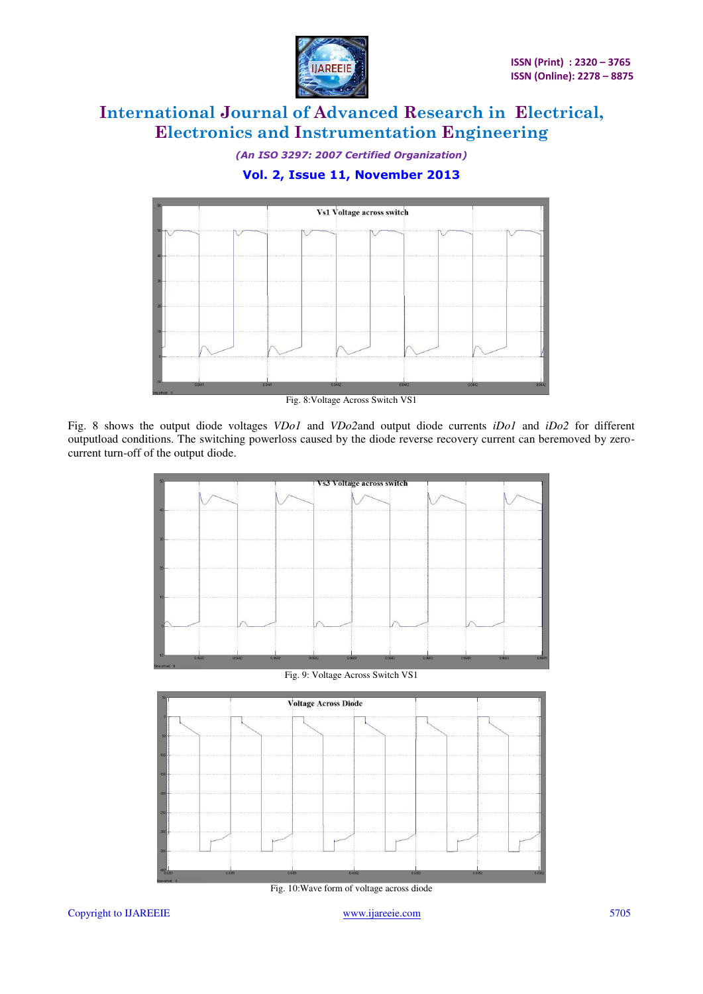

*(An ISO 3297: 2007 Certified Organization)* 

### **Vol. 2, Issue 11, November 2013**



Fig. 8:Voltage Across Switch VS1

Fig. 8 shows the output diode voltages *VDo1* and *VDo2*and output diode currents *iDo1* and *iDo2* for different outputload conditions. The switching powerloss caused by the diode reverse recovery current can beremoved by zerocurrent turn-off of the output diode.



Fig. 9: Voltage Across Switch VS1



Fig. 10:Wave form of voltage across diode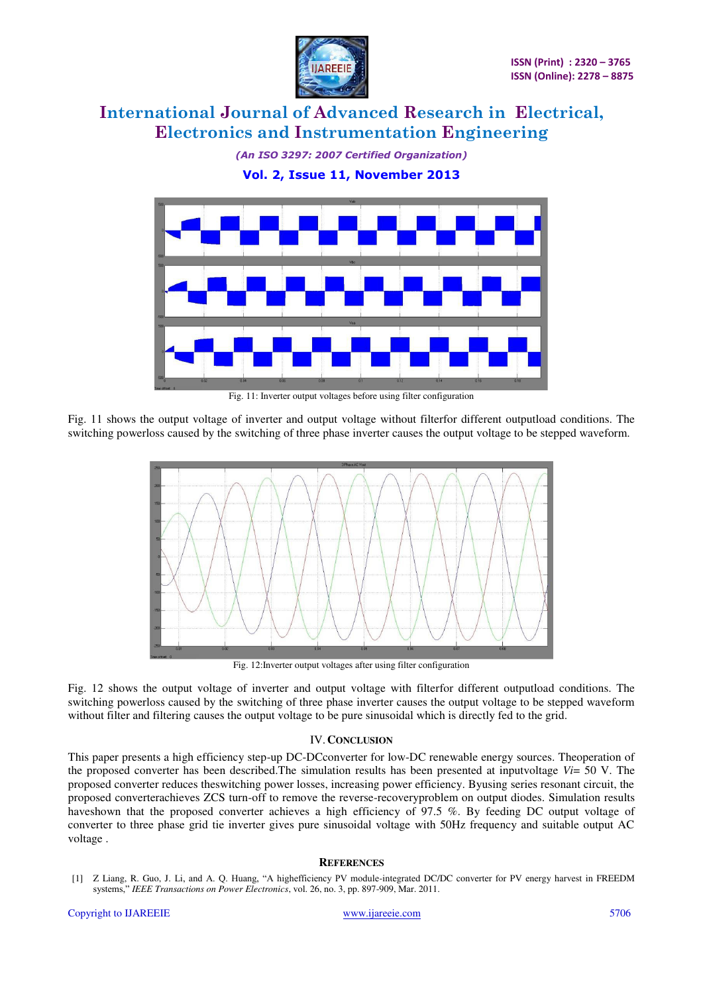

*(An ISO 3297: 2007 Certified Organization)* 

**Vol. 2, Issue 11, November 2013** 



Fig. 11: Inverter output voltages before using filter configuration

Fig. 11 shows the output voltage of inverter and output voltage without filterfor different outputload conditions. The switching powerloss caused by the switching of three phase inverter causes the output voltage to be stepped waveform.



Fig. 12:Inverter output voltages after using filter configuration

Fig. 12 shows the output voltage of inverter and output voltage with filterfor different outputload conditions. The switching powerloss caused by the switching of three phase inverter causes the output voltage to be stepped waveform without filter and filtering causes the output voltage to be pure sinusoidal which is directly fed to the grid.

#### IV.**CONCLUSION**

This paper presents a high efficiency step-up DC-DCconverter for low-DC renewable energy sources. Theoperation of the proposed converter has been described.The simulation results has been presented at inputvoltage *Vi*= 50 V. The proposed converter reduces theswitching power losses, increasing power efficiency. Byusing series resonant circuit, the proposed converterachieves ZCS turn-off to remove the reverse-recoveryproblem on output diodes. Simulation results haveshown that the proposed converter achieves a high efficiency of 97.5 %. By feeding DC output voltage of converter to three phase grid tie inverter gives pure sinusoidal voltage with 50Hz frequency and suitable output AC voltage .

#### **REFERENCES**

[1] Z Liang, R. Guo, J. Li, and A. Q. Huang, "A highefficiency PV module-integrated DC/DC converter for PV energy harvest in FREEDM systems," *IEEE Transactions on Power Electronics*, vol. 26, no. 3, pp. 897-909, Mar. 2011.